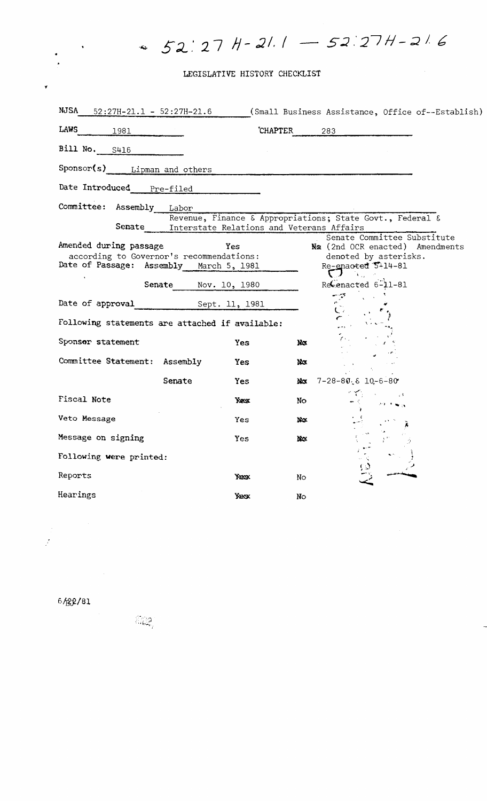## LEGISLATIVE HISTORY CHECKLIST

 $52:27$  H - 21.1 -  $52:27$  H - 21.6

| NJSA<br>$52:27H-21.1 - 52:27H-21.6$                                                                                                      |                | (Small Business Assistance, Office of--Establish)                                                                                   |
|------------------------------------------------------------------------------------------------------------------------------------------|----------------|-------------------------------------------------------------------------------------------------------------------------------------|
| LAWS<br>1981                                                                                                                             | <b>CHAPTER</b> | 283                                                                                                                                 |
| Bill No. 5416                                                                                                                            |                |                                                                                                                                     |
| Sponsor(s) Lipman and others                                                                                                             |                |                                                                                                                                     |
| Date Introduced<br>Pre-filed                                                                                                             |                |                                                                                                                                     |
| Committee:<br>Assembly<br>Labor                                                                                                          |                |                                                                                                                                     |
| Revenue, Finance & Appropriations; State Govt., Federal &<br>Senate<br>Interstate Relations and Veterans Affairs                         |                |                                                                                                                                     |
| Amended during passage<br>according to Governor's recommendations:<br>Date of Passage: Assembly March 5, 1981<br>Senate<br>Nov. 10, 1980 | Yes            | Senate Committee Substitute<br>No (2nd OCR enacted) Amendments<br>denoted by asterisks.<br>Re-enacted 5-14-81<br>Recenacted 6-11-81 |
|                                                                                                                                          |                |                                                                                                                                     |
|                                                                                                                                          |                |                                                                                                                                     |
| Following statements are attached if available:                                                                                          |                |                                                                                                                                     |
| Sponsor statement                                                                                                                        | Yes            | Nø                                                                                                                                  |
| Committee Statement: Assembly                                                                                                            | Yes            | Ņα                                                                                                                                  |
| Senate                                                                                                                                   | Yes            | $7 - 28 - 80.6$ 10-6-80<br>Να                                                                                                       |
| <b>Fiscal Note</b>                                                                                                                       | Yes            | No                                                                                                                                  |
| Veto Message                                                                                                                             | Yes            | No.                                                                                                                                 |
| Message on signing                                                                                                                       | Yes.           | bλα                                                                                                                                 |
| Following were printed:                                                                                                                  |                |                                                                                                                                     |
| Reports                                                                                                                                  | Yex x          | No                                                                                                                                  |
| Hearings                                                                                                                                 | Yesk           | No                                                                                                                                  |

6保纪/81

 $\hat{\vec{J}}$ 

 $\widehat{\mathbb{G}}_{\text{dec}}^{\text{op}}$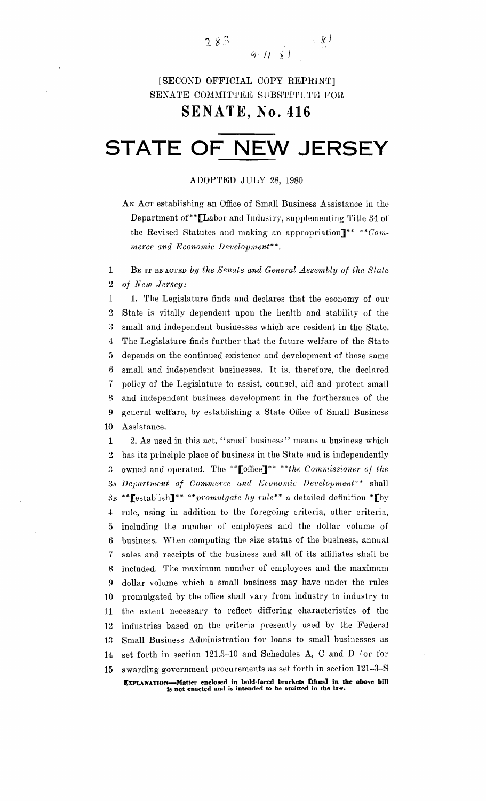$\mathbb{R}^n \times \mathbb{R}^n$  $283$  $9 - 11 - 81$ 

## [SECOND OFFICIAL COPY REPRINT] SENATE COMMITTEE SUBSTITUTE FOR

SENATE~ **No. 416**

# **STATE OF NEW JERSEY**

### ADOPTED .JULY 28, 1980

AN ACT establishing an Office of Small Business Assistance in the Department of\*\* $[$ Labor and Industry, supplementing Title 34 of the Revised Statutes and making an appropriation]<sup>\*\*</sup> \*\* $Com$ *merce and Economic Deoelopmeni":",*

1 BE IT ENACTED *by the Senate and General Assembly of the State* 2 *of New Jersey:*

 1. The Legislature finds and declares that the economy of our State is vitally dependent upon the health and stability of the 3 small and independent businesses which are resident in the State. 4: The Legislature finds further that the future welfare of the State ;) depends on the continued existence and development of these same small and independent businesses. It is, therefore, the declared policy of the Legislature to assist, counsel, aid and protect small and independent business development in the furtherance of the general welfare, by establishing a State Office of Small Business Assistance.

1 2. As used in this act, "small business" means a business which 2 has its principle place of business in the State and is independently 3 owned and operated. The \*\*Loffice<sup>1\*\*</sup> \*\**the Commissioner of the* 3A *Department of Commerce and Economic Deoelopmeni?"* shall 3B \*\*Lestablish<sup>\*\*</sup> \*\*promulgate by rule<sup>\*\*</sup> a detailed definition \*Lby 4: rule, using in addition to the foregoing criteria, other criteria, 5 including the number of employees and the dollar volume of 6 business. When computing the size status of the business, annual 7 sales and receipts of the business and all of its affiliates shall be 8 included. The maximum number of employees and the maximum 9 dollar volume which a small business may have under the rules 10 promulgated by the office shall vary from industry to industry to 11 the extent necessary to reflect differing characteristics of the 12 industries based on the criteria presently used by the Federal 13 Small Business Administration for loans to small businesses as 14: set forth in section 121.2-10 and Schedules A, C and D (or for 15 awarding government procurements as set forth in section 121-3-S EXPLANATION-Matter enclosed in bold-faced brackets [thus] in the above bill is not enacted and is intended to be omitted in the law.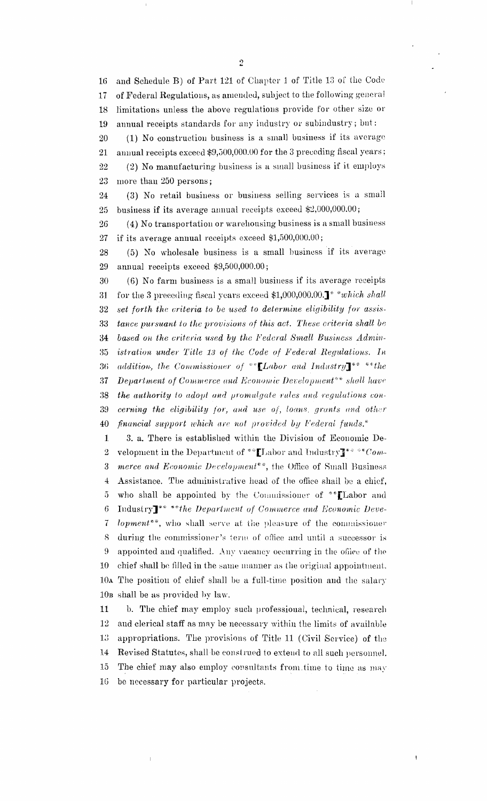and Schedule B) of Part 121 of Chapter 1 of Title 13 of the Code  $16<sup>1</sup>$ of Federal Regulations, as amended, subject to the following general  $17$ limitations unless the above regulations provide for other size or 18 annual receipts standards for any industry or subindustry; bnt: 19

(1) No construction business is a small business if its average 20 annual receipts exceed \$9,500,000.00 for the 3 preceding fiscal years; 21 (2) No manufacturing business is a small business if it employs 22 more than 250 persons; 23

(3) No retail business or business selling services is a small  $24\,$ business if its average annual receipts exceed \$2,000,000.00; 25

(4) No transportation or warehousing business is a small business  $26\,$ if its average annual receipts exceed \$1,500,000.00; 27

(5) No wholesale business is a small business if its average 28 annual receipts exceed \$9,500,000.00; 29

(6) No farm business is a small business if its average receipts 30 for the 3 preceding fiscal years exceed \$1,000,000.00.]<sup>\*</sup> *"which shall* 31 set forth the criteria to be used to determine eligibility for assis-32 tance pursuant to the provisions of this act. These criteria shall be 33 based on the criteria used by the Federal Small Business Admin-34 istration under Title 13 of the Code of Federal Regulations. In 35 addition, the Commissioner of \*\* [Labor and Industry]\*\* \*\* the 36 **Department of Commerce and Economic Development**\*\* shall have 37 38 the authority to adopt and promulgate rules and regulations concerning the eligibility for, and use of, loans, grants and other 39 financial support which are not provided by Federal funds.\* 40

 $\mathbf{1}$ 3. a. There is established within the Division of Economic Development in the Department of \*\*\* [Labor and Industry]\*\*\*\*\*Com- $\overline{2}$ merce and Economic Development\*\*, the Office of Small Business  $\sqrt{3}$ Assistance. The administrative head of the office shall be a chief,  $\overline{4}$ who shall be appointed by the Commissioner of \*\* [Labor and  $\overline{5}$ Industry<sup>\*\*</sup>\*\*the Department of Commerce and Economic Deve- $\sqrt{6}$ lopment\*\*, who shall serve at the pleasure of the commissioner  $\overline{7}$ during the commissioner's term of office and until a successor is 8 9 appointed and qualified. Any vacancy occurring in the office of the chief shall be filled in the same manner as the original appointment.  $10\,$ 10a The position of chief shall be a full-time position and the salary 10<sup>B</sup> shall be as provided by law.

11 b. The chief may employ such professional, technical, research and clerical staff as may be necessary within the limits of available 12  $13\,$ appropriations. The provisions of Title 11 (Civil Service) of the 14 Revised Statutes, shall be construed to extend to all such personnel. The chief may also employ consultants from time to time as may  $15\,$ be necessary for particular projects. 16

 $\begin{array}{c} \hline \end{array}$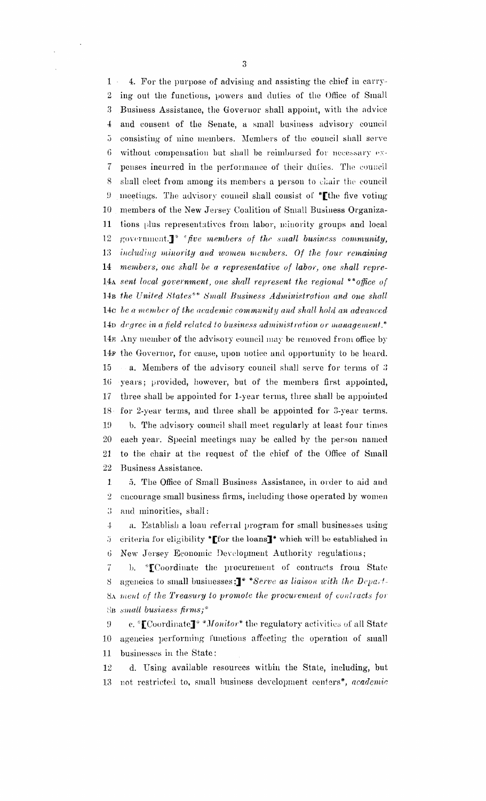1 4. For the purpose of advising and assisting the chief in earry-2 ing out the functions, powers and duties of the Office of Small 3 Business Assistance, the Governor shall appoint, with the advice 4: and consent of the Senate, a small business advisory council ,) consisting' of nine members. Members of the council shall serve  $6$  without compensation but shall be reimbursed for necessary  $ex-$ 7 peuses incurred in the performance of their duties. Tho council 8 shall elect from among its members a person to chair the council  $9$  meetings. The advisory council shall consist of \* the five voting 10 members of the New Jersey Coalition of Small Business Organiza-11 tions plus representatives from labor, minority groups and local 12 government.<sup>1\*</sup> *\*five members of the small business community, Bincludillg mil/Mity and women members. Of the four remaining* 14 *members, one shall be a representative of labor, one shall repre-*14A sent local government, one shall represent the regional \*\*office of 14B *the United States\*\* Small Business Administration and one shall* 14c *be a member of the academic community and shall hold an advanced* 14D *degree in a field 'related to business administration. or management."* 14g Any member of the advisory council may be removed from office by 14F the Governor, for cause, upon notice and opportunity to be heard.  $15$  a. Members of the advisory council shall serve for terms of  $3$ 16 years; provided, however, but of the members flrst appointed, 17 three shall be appointed for Lyear tenus, three shall be appointed 18 for 2-year terms, and three shall be appointed for 3-year terms. 1D b. Tbe advisory council shall meet regularly at least four times 20 each year. Special meetings may be called by the persou named 21 to the chair at the request of the chief of the Office of Small 22 Business Assistance.

1 5. The Office of Small Business Assistance, in order to aid and 2 encourage small business firms, including those operated by wornen 3 and minorities, shall:

4 a. Establish a loan referral program for small businesses using  $j$  criteria for eligibility \* [for the loans]\* which will be established in 6 New Jersey Economic Development Authority regulations;

7 b. \* Coordinate the procurement of contracts from State 8 agencies to small businesses;]\* \*Serve as *liaison with the Depart-*SA *tueul. of the Treasury to promote the procurement of coniracts [or* ~)B *suutll busiu ess firms;"*

9 e. \* [Coordinate]\* \* Monitor\* the regulatory activities of all State 10 agencies performing l'unctions affecting the operation of small 11 businesses in the State;

12 d. Using available resources witbin the State, including, but 1;3 110t restricted to, small business development centers", *academic*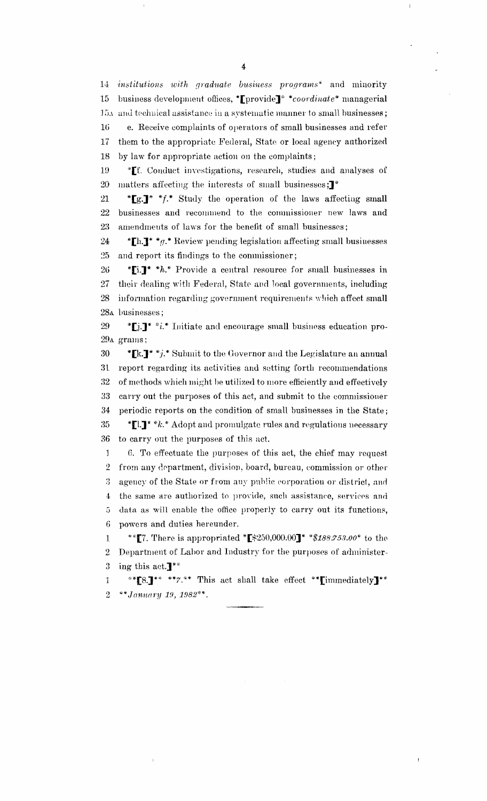institutions with graduate business programs\* and minority 14 business development offices, \*Lprovide]\* \*coordinate\* managerial 15 15x and technical assistance in a systematic manner to small businesses; e. Receive complaints of operators of small businesses and refer  $16\,$ them to the appropriate Federal, State or local agency authorized 17 by law for appropriate action on the complaints; 18

\*Ef. Conduct investigations, research, studies and analyses of 19 20 matters affecting the interests of small businesses;<sup>1\*</sup>

21 "[g.]" "f." Study the operation of the laws affecting small 22 businesses and recommend to the commissioner new laws and 23 amendments of laws for the benefit of small businesses;

\*[h.]\* \*g.\* Review pending legislation affecting small businesses 24 and report its findings to the commissioner;  $25\,$ 

\*[i.]\* \*h.\* Provide a central resource for small businesses in 26 27 their dealing with Federal, State and local governments, including information regarding government requirements which affect small 28 28A businesses;

29 \*[j.]\* \*i.\* Initiate and encourage small business education pro-29A grams;

30 \*[k.]\*\*j.\* Submit to the Governor and the Legislature an annual 31 report regarding its activities and setting forth recommendations 32 of methods which might be utilized to more efficiently and effectively carry out the purposes of this act, and submit to the commissioner 33 periodic reports on the condition of small businesses in the State; 34 35 \*[1.]\* \* k.\* Adopt and promulgate rules and regulations necessary 36 to carry out the purposes of this act.

 $\mathbf{1}$ 6. To effectuate the purposes of this act, the chief may request  $\overline{2}$ from any department, division, board, bureau, commission or other agency of the State or from any public corporation or district, and 3 the same are authorized to provide, such assistance, services and  $\overline{4}$ data as will enable the office properly to carry out its functions, 5 powers and duties hereunder. 6

 $\mathbf{1}$ Department of Labor and Industry for the purposes of administer- $\overline{2}$ 3 ing this act. $\mathbf{J}^{**}$ 

\*\* [8.]\*\* \*\* 7.\*\* This act shall take effect \*\* [immediately]\*\*  $\mathbf{1}$  $\overline{2}$ \*\*January 19, 1982\*\*.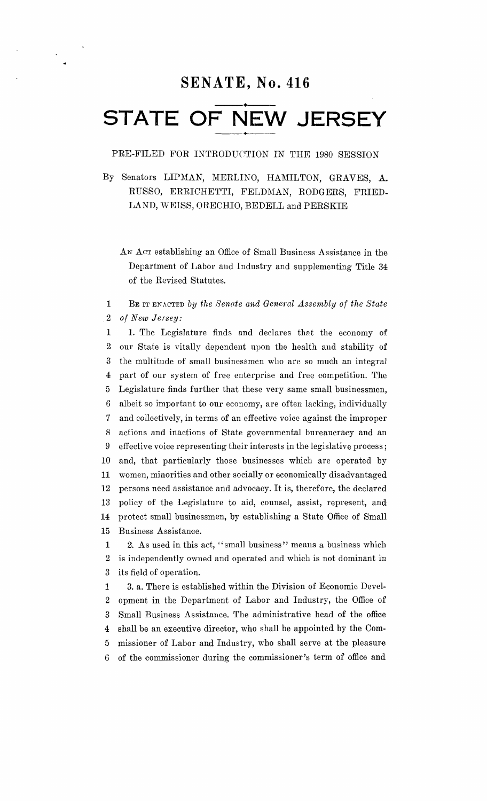## **SENATE, No. 416**

## **• STATE OF NEW JERSEY** ----\_.+-----

PRE-FILED FOR INTRODUCTION IN THE 1980 SESSION

By Senators LIPMAN, MERLINO, HAMILTON, GRAVES, A. RUSSO, ERRICHETTI, FELDMAN, RODGERS, FRIED-LAND, WEISS, ORECHIO, BEDELL and PERSKIE

AN ACT establishing an Office of Small Business Assistance in the Department of Labor and Industry and supplementing Title 34 of the Revised Statutes.

1 BE ITENACTED *by the Senate and General Assembly of the State* 2 *of New Jersey:*

 1. The Legislature finds and declares that the economy of our State is vitally dependent upon the health and stability of 3 the multitude of small businessmen who are so much an integral part of our system of free enterprise and free competition. The Legislature finds further that these very same small businessmen, albeit so important to our economy, are often lacking, individually and collectively, in terms of an effective voice against the improper actions and inactions of State governmental bureaucracy and an effective voice representing their interests in the legislative process; and, that particularly those businesses which are operated by 11 women, minorities and other socially or economically disadvantaged persons need assistance and advocacy. It is, therefore, the declared policy of the Legislature to aid, counsel, assist, represent, and protect small businessmen, by establishing a State Office of Small Business Assistance.

1 2. As used in this act, "small business" means a business which 2 is independently owned and operated and which is not dominant in 3 its field of operation.

1 3. a. There is established within the Division of Economic Devel- opment in the Department of Labor and Industry, the Office of Small Business Assistance. The administrative head of the office shall be an executive director, who shall be appointed by the Com- missioner of Labor and Industry, who shall serve at the pleasure 6 of the commissioner during the commissioner's term of office and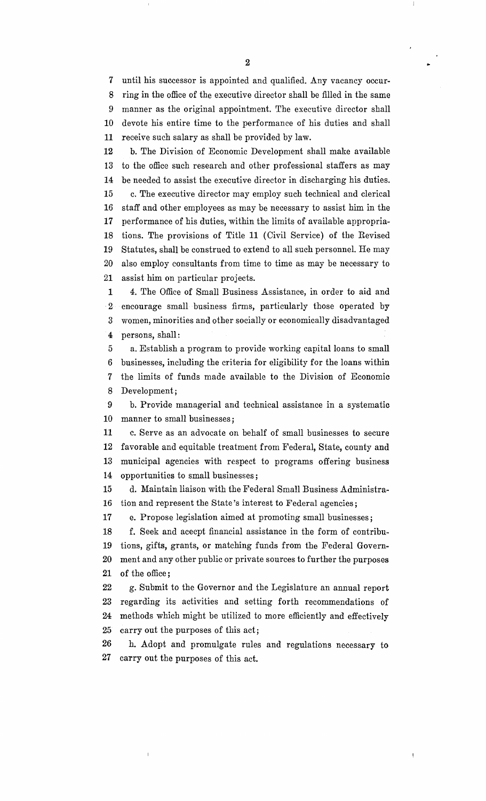until his successor is appointed and qualified. Any vacancy occur- ring in the office of the executive director shall be filled in the same manner as the original appointment. The executive director shall devote his entire time to the performance of his duties and shall receive such salary as shall be provided by law.

12 b. The Division of Economic Development shall make available 13 to the office such research and other professional staffers as may 14 be needed to assist the executive director in discharging his duties. 15 c. The executive director may employ such technical and clerical 16 staff and other employees as may be necessary to assist him in the 17 performance of his duties, within the limits of available appropria-18 tions. The provisions of Title 11 (Civil Service) of the Revised 19 Statutes, shall be construed to extend to all such personnel. He may 20 also employ consultants from time to time as may be necessary to 21 assist him on particular projects.

1 4. The Office of Small Business Assistance, in order to aid and 2 encourage small business firms, particularly those operated by 3 women, minorities and other socially or economically disadvantaged 4 persons, shall:

5 a. Establish a program to provide working capital loans to small businesses, including the criteria for eligibility for the loans within the limits of funds made available to the Division of Economic Development;

9 b. Provide managerial and technical assistance in a systematic 10 manner to small businesses;

11 c. Serve as an advocate on behalf of small businesses to secure favorable and equitable treatment from Federal, State, county and municipal agencies with respect to programs offering business opportunities to small businesses;

15 d. Maintain liaison with the Federal Small Business Administra-16 tion and represent the State's interest to Federal agencies;

17 e. Propose legislation aimed at promoting small businesses;

18 f. Seek and acecpt financial assistance in the form of contribu-19 tions, gifts, grants, or matching funds from the Federal Govern-20 ment and any other public or private sources to further the purposes 21 of the office;

22 g. Submit to the Governor and the Legislature an annual report regarding its activities and setting forth recommendations of methods which might be utilized to more efficiently and effectively carry out the purposes of this act;

26 h. Adopt and promulgate rules and regulations necessary to 27 carry out the purposes of this act.

..

 $\overline{1}$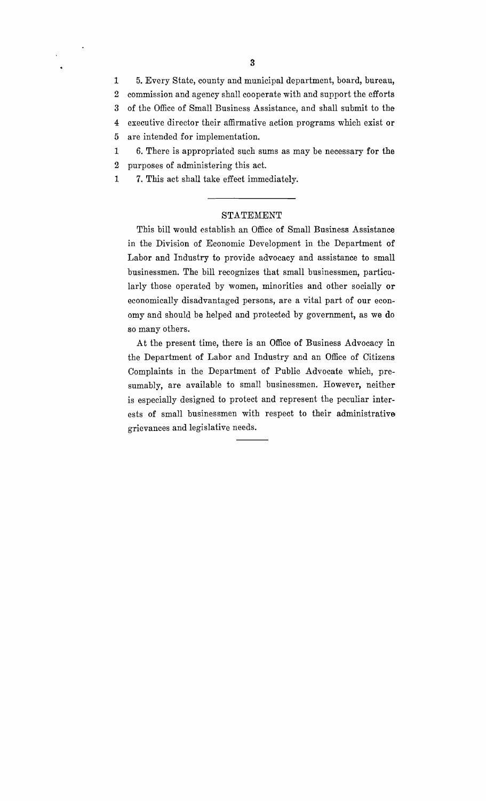1 5. Every State, county and municipal department, board, bureau, 2 commission and agency shall cooperate with and support the efforts 3 of the Office of Small Business Assistance, and shall submit to the 4 executive director their affirmative action programs which exist or 5 are intended for implementation.

- 1 6. There is appropriated such sums as may be necessary for the 2 purposes of administering this act.
- 1 7. This act shall take effect immediately.

#### STATEMENT

This bill would establish an Office of Small Business Assistance in the Division of Economic Development in the Department of Labor and Industry to provide advocacy and assistance to small businessmen. The bill recognizes that small businessmen, particularly those operated by women, minorities and other socially or economically disadvantaged persons, are a vital part of our economy and should be helped and protected by government, as we do so many others.

At the present time, there is an Office of Business Advocacy in the Department of Labor and Industry and an Office of Citizens Complaints in the Department of Public Advocate which, presumably, are available to small businessmen. However, neither is especially designed to protect and represent the peculiar interests of small businessmen with respect to their administrative grievances and legislative needs.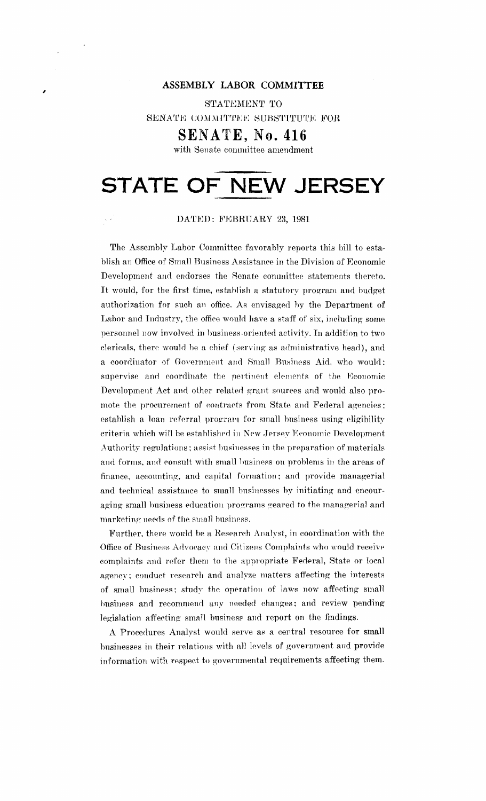## , **ASSEMBLY LABOR COMMITTEE**

STATEMENT TO SENATE COMMITTEE SUBSTITUTE FOR

**SENATE, No. 416**

with Senate committee amendment

# **STATE OF NEW JERSEY**

DATED: FEBRUARY 23, 1981

The Assembly Labor Committee favorably reports this bill to establish an Office of Small Business Assistance in the Division of Economic Development and endorses the Senate committee statements thereto. It would, for the first time. establish <sup>a</sup> statutory program and budget authorization for such an office. As envisaged by the Department of Labor and Industry, the office would have a staff of six, including some personnel now involved in business-oriented activity. In addition to two clericals. there would be a chief (serving as administrative head), and a coordinator of Government and Small Business Aid, who would: supervise and coordinate the pertinent elements of the Economic Development Act and other related grant sources and would also promote the procurement of contracts from State and Federal agencies; establish a loan referral program for small business using eligibility criteria which will be established in New Jersey Economic Development Authoritv regulations; assist businesses in the preparation of materials and forms, and consult with small business on problems in the areas of finance, accounting, and capital formation; and provide managerial and technical assistance to small busiuesses by initiating and encouraging small business education programs geared to the managerial and marketing needs of the small business.

Further, there would be a Hesearch Analyst, in coordination with the Office of Business Advocacv and Citizens Complaints who would receive complaints and refer them to the appropriate Federal, State or local agency; conduct research and analyze matters affecting the interests of small business; study the operation of laws now affecting small business and recommend any needed changes; and review pending legislation affecting small business and report on the findings.

A Procedures Analyst would serve as a central resource for small businesses in their relations with all levels of government and provide information with respect to governmental requirements affecting them.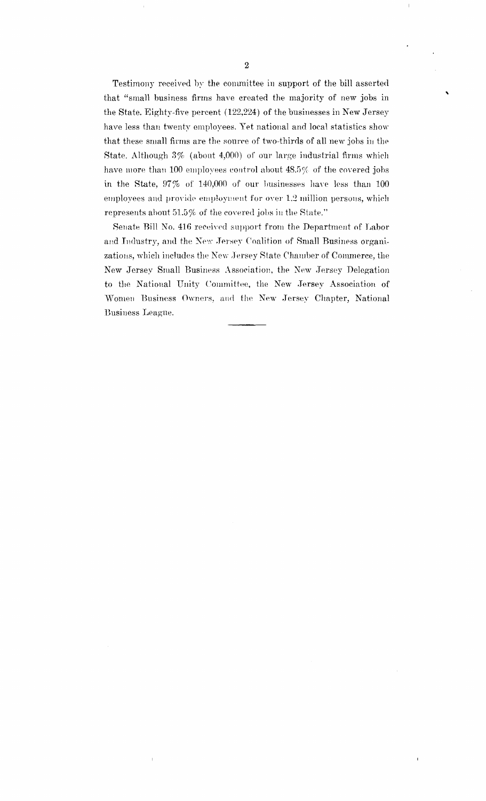Testimony received by the committee in support of the bill asserted that "small business firms have created the majority of new jobs in the State. Eighty-five percent (122,224) of the businesses in New Jersey have less than twenty employees. Yet national and local statistics show that these small firms are the source of two-thirds of all new jobs in the State. Although  $3\%$  (about  $4,000$ ) of our large industrial firms which have more than 100 employees control about  $48.5%$  of the covered jobs in the State, 97% of 140,000 of our businesses have less than 100 employees and provide employment for over 1.2 million persons, which represents about  $51.5\%$  of the covered jobs in the State."

Senate Bill No. 416 received support from the Department of Labor and Industry, and the New Jersey Coalition of Small Business organizations, which includes the New Jersey State Chamber of Commerce, the New Jersey Small Business Association, the New Jersey Delegation to the National Unity Committee, the New Jersey Association of Women Business Owners, and the New .Jersey Chapter, National Business League.

'\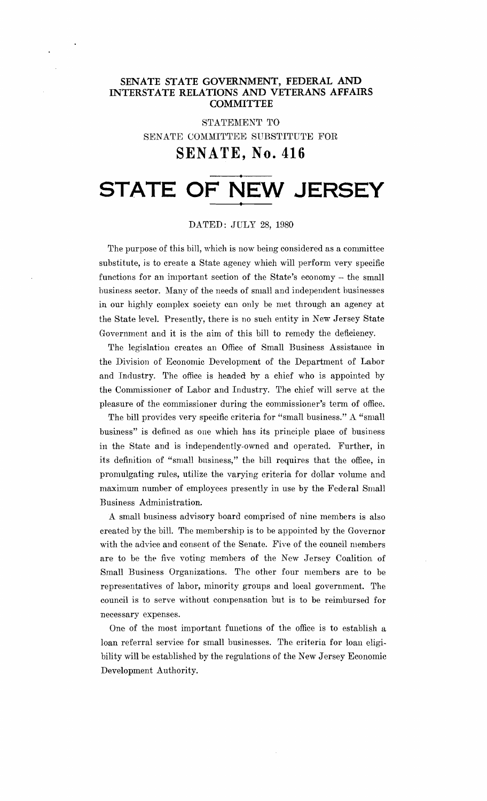### **SENATE STATE GOVERNMENT, FEDERAL AND INTERSTATE RELATIONS AND VETERANS AFFAIRS COMNIITTEE**

STATEMENT TO SENATE COMMITTEE SUBSTITUTE FOR

## **SENATE, No. 416**

# **STATE OF NEW JERSEY**

#### DATED: JULY 28, 1980

The purpose of this bill, which is now being considered as a committee substitute, is to create a State agency which will perform very specific functions for an important section of the State's economy - the small business sector. Many of the needs of small and independent businesses in our highly complex society can only be met through an agency at the State level. Presently, there is no such entity in New Jersey State Government and it is the aim of this bill to remedy the deficiency.

The legislation creates an Office of Small Business Assistance in the Division of Economic Development of the Department of Labor and Industry. The office is headed by a chief who is appointed by the Commissioner of Labor and Industry. The chief will serve at the pleasure of the commissioner during the commissioner's term of office.

The bill provides very specific criteria for "small business." A "small business" is defined as one which has its principle place of business in the State and is independently-owned and operated. Further, in its definition of "small business," the bill requires that the office, in promulgating rules, utilize the varying criteria for dollar volume and maximum number of employees presently in use by the Federal Small Business Administration.

A small business advisory board comprised of nine members is also created by the bill. The membership is to be appointed by the Governor with the advice and consent of the Senate. Five of the council members are to be the five voting members of the New .Jersey Coalition of Small Business Organizations. The other four members are to be representatives of labor, minority groups and local government. The council is to serve without compensation but is to be reimbursed for necessary expenses.

One of the most important functions of the office is to establish a loan referral service for small businesses. The criteria for loan eligibility will be established by the regulations of the New Jersey Economic Development Authority.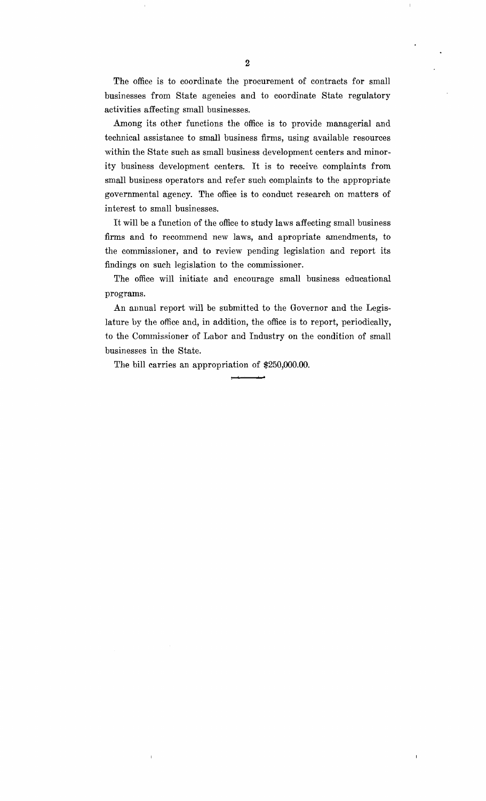The office is to coordinate the procurement of contracts for small businesses from State agencies and to coordinate State regulatory activities affecting small businesses.

Among its other functions the office is to provide managerial and technical assistance to small business firms, using available resources within the State such as small business development centers and minority business development centers. It is to receive. complaints from small business operators and refer such complaints to the appropriate governmental agency. The office is to conduct research on matters of interest to small businesses.

It will be a function of the office to study laws affecting small business firms and to recommend new laws, and apropriate amendments, to the commissioner, and to review pending legislation and report its findings on such legislation to the commissioner.

The office will initiate and encourage small business educational programs.

An annual report will be submitted to the Governor and the Legislature by the office and, in addition, the office is to report, periodically, to the Commissioner of Labor and Industry on the condition of small businesses in the State.

 $\mathbf{I}$ 

The bill carries an appropriation of \$250,000.00.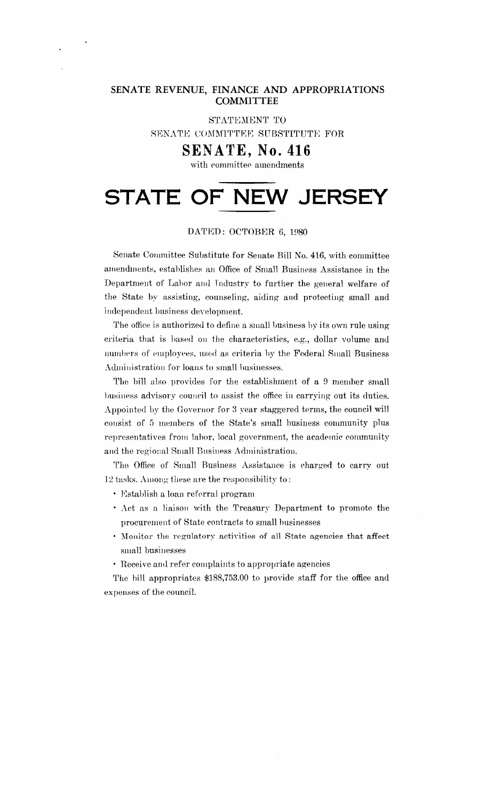### **SENATE REVENUE, FINANCE AND APPROPRIATIONS COMMITTEE**

STATEMENT TO

SENATE COMMITTEE SUBSTITUTE FOR

## **SENATE, No. 416**

with committee amendments

# **STATE OF NEW JERSEY**

### DATED: OCTOBER 6, 1980

Senate Committee Substitute for Senate Bill No. 416, with committee amendments, establishes an Office of Small Business Assistance in the Department of Labor and Industry to further the general welfare of the State by assisting, counseling, aiding and protecting small and iudepeudent business development.

The office is authorized to define a small business by its own rule using criteria that is based on the characteristics, e.g., dollar volume and numbers of employees, used as criteria by the Federal Small Business Administration for loans to small businesses,

The bill also provides for the establishment of a 9 member small business advisory council to assist the office in carrying out its duties. Appointed by the Governor for 3 vear staggered terms, the council will consist of 5 members of the State's small business community plus representatives from labor, local government, the academic community and the regional Small Business Administration.

The Office of Small Business Assistance is charged to carry out 12 tasks. Among these are the responsibilitv to :

- Establish a loan referral program
- Act as a liaison with the Treasury Department to promote the procurement of State contracts to small businesses
- Monitor the regulatory activities of all State agencies that affect small businesses
- Heceive and refer complaints to appropriate agencies

The hill appropriates \$188,753.00 to provide staff for the office and expenses of the council.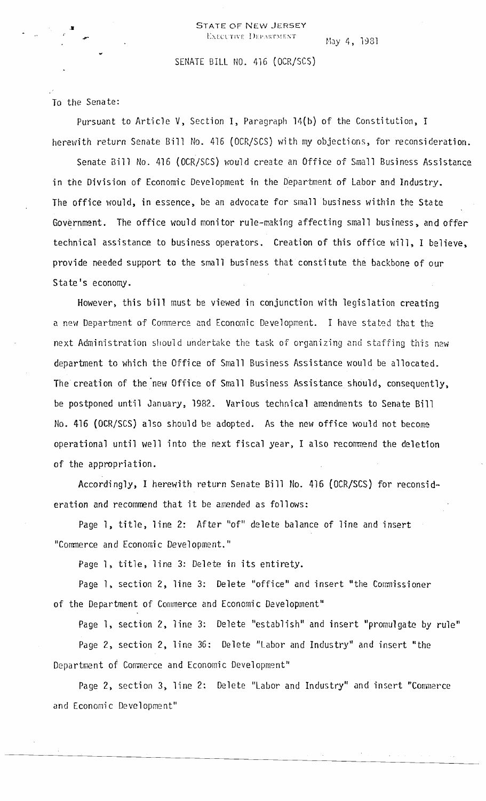May 4, 1931

#### SENATE BILL NO. 416 (OCR/SCS)

#### To the Sena te:

Pursuant to Article V, Section I, Paragraph 14(b) of the Constitution, I herewith return Senate Bill No. 416 (OCR/SCS) with my objections, for reconsideration.

Senate Bill No. 416 (OCR/SCS) would create an Office of Small Business Assistance in the Division of Economic Development in the Department of Labor and Industry. The office would, in essence, be an advocate for small business within the State Government. The office would monitor rule-making affecting small business, and offer technical assistance to business operators. Creation of this office will, I believe, provide needed support to the small business that constitute the backbone of our State's economy.

However, this bill must be viewed in conjunction with legislation creating a new Department of Commerce and Economic Development. I have stated that the next Administration should undertake the task of organizing and staffing this new department to which the Office of Small Business Assistance would be allocated. The creation of the new Office of Small Business Assistance should, consequently, be postponed until January, 1982. Various technical amendments to Senate Bill No. 416 (OCR/SCS) also should be adopted. As the new office would not become operational until well into the next fiscal year, I also recommend the deletion of the appropriation.

Accordingly, I herewith return Senate Bill No. 416 (OCR/SCS) for reconsideration and recommend that it be amended as follows:

Page 1, title, line 2: After "of" delete balance of line and insert "Commerce and Economic Development."

Page 1, title, line 3: Delete in its entirety.

Page 1, section 2, line 3: Delete "office" and insert "the Commissioner of the Department of Commerce and Economic Development"

Page 1, section 2, line 3: Delete "establish" and insert "promulgate by rule"

Page 2, section 2, line 36: Delete "Labor and Industry" and insert "the Department of Commerce and Economic Development"

Page 2, section 3, line 2: Delete "Labor and Industry" and insert "Comnerce and Economic Development"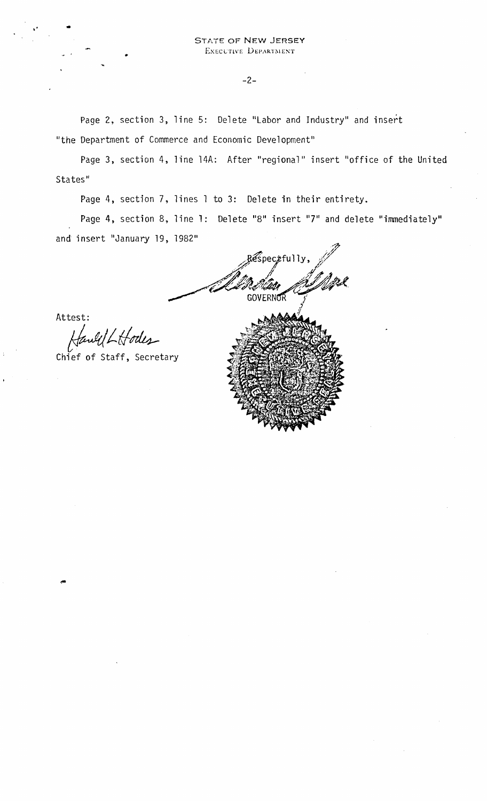-2-

Page 2, section 3, line 5: Delete "Labor and Industry" and insert "the Department of Commerce and Economic Development"

Page 3, section 4, line 14A: After "regional" insert "office of the United States"

Page 4, section 7, lines 1 to 3: Delete in their entirety.

Page 4, section 8, line 1: Delete "8" insert <mark>"7" a</mark>nd delete "immediately" and insert "January 19, 1982"

 $\widehat{\mathscr{E}}$ spec $\mathscr{F}$ fully $,$ 40 p. .. f~'V ,./~,? JURIA ADVR **GOVERNOR** *i*

Attest:

Hawll Hodes

Chief of Staff, Secretary